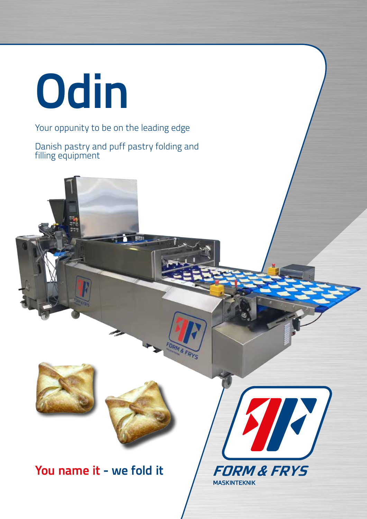# **Odin**

Your oppunity to be on the leading edge

Danish pastry and puff pastry folding and filling equipment

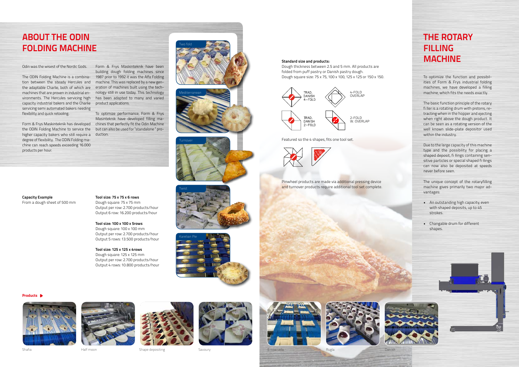# **ABOUT THE ODIN FOLDING MACHINE**

# **THE ROTARY FILLING MACHINE**

#### Odin was the wisest of the Nordic Gods.

The ODIN Folding Machine is a combination between the steady Hercules and the adaptable Charlie, both of which are machines that are proven in industrial environments. The Hercules servicing high capacity industrial bakers and the Charlie servicing semi automated bakers needing flexibility and quick retooling.

Form & Frys Maskinteknik has developed chines that perfectly fit the Odin Machine the ODIN Folding Machine to service the higher capacity bakers who still require a duction. degree of flexibility. The ODIN Folding machine can reach speeds exceeding 16.000 products per hour.

#### **Standard size and products:**

Dough thickness between 2.5 and 5 mm. All products are folded from puff pastry or Danish pastry dough. Dough square size: 75 x 75, 100 x 100, 125 x 125 or 150 x 150. To optimize the function and possibil-

ities of Form & Frys industrial folding machines, we have developed a filling machine, which fits the needs exactly.

The basic function principle of the rotary fi ller is a rotating drum with pistons, retracting when in the hopper and ejecting when right above the dough product. It can be seen as a rotating version of the well known slide-plate depositor used within the industry.

Pinwheel products are made via additional pressing device and turnover products require additional tool set complete. Due to the large capacity of this machine type and the possibility for placing a shaped deposit, fi llings containing sensitive particles or special shaped fi llings can now also be deposited at speeds never before seen.

The unique concept of the rotaryfilling machine gives primarily two major advantages:

- An outstanding high capacity, even with shaped deposits, up to 45 strokes.
- Changable drum for different shapes.



# **Capacity Example** From a dough sheet of 500 mm

#### **Products**









**Tool size: 75 x 75 x 6 rows** Dough square: 75 x 75 mm Output per row: 2.700 products/hour Output 6 row: 16.200 products/hour

**Tool size: 100 x 100 x 5rows** Dough square: 100 x 100 mm Output per row: 2.700 products/hour Output 5 rows: 13.500 products/hour

**Tool size: 125 x 125 x 4rows** Dough square: 125 x 125 mm Output per row: 2.700 products/hour Output 4 rows: 10.800 products/hour

Form & Frys Maskinteknik have been building dough folding machines since 1987 prior to 1992 it was the Alfa Folding machine. This was replaced by a new generation of machines built using the technology still in use today. This technology has been adapted to many and varied product applications.

To optimize performance, Form & Frys Masinteknik have developed filling mabut can also be used for "standalone " pro-





Featured so the 4 shapes, fits one tool set.